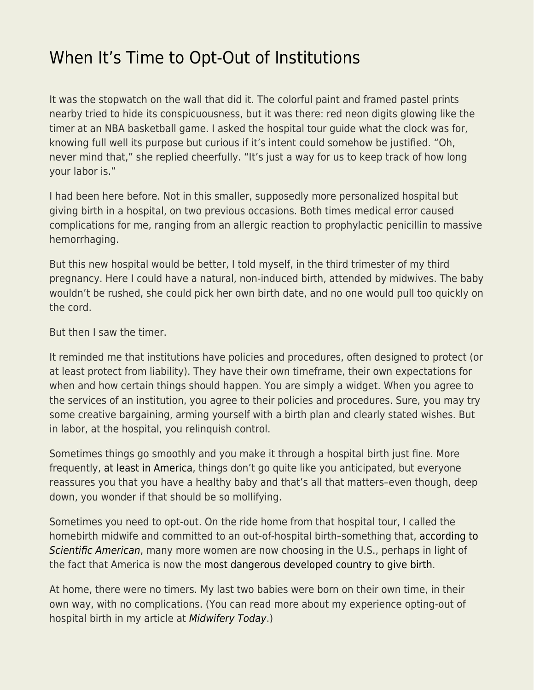## [When It's Time to Opt-Out of Institutions](https://everything-voluntary.com/when-its-time-to-opt-out-of-institutions)

It was the stopwatch on the wall that did it. The colorful paint and framed pastel prints nearby tried to hide its conspicuousness, but it was there: red neon digits glowing like the timer at an NBA basketball game. I asked the hospital tour guide what the clock was for, knowing full well its purpose but curious if it's intent could somehow be justified. "Oh, never mind that," she replied cheerfully. "It's just a way for us to keep track of how long your labor is."

I had been here before. Not in this smaller, supposedly more personalized hospital but giving birth in a hospital, on two previous occasions. Both times medical error caused complications for me, ranging from an allergic reaction to prophylactic penicillin to massive hemorrhaging.

But this new hospital would be better, I told myself, in the third trimester of my third pregnancy. Here I could have a natural, non-induced birth, attended by midwives. The baby wouldn't be rushed, she could pick her own birth date, and no one would pull too quickly on the cord.

But then I saw the timer.

It reminded me that institutions have policies and procedures, often designed to protect (or at least protect from liability). They have their own timeframe, their own expectations for when and how certain things should happen. You are simply a widget. When you agree to the services of an institution, you agree to their policies and procedures. Sure, you may try some creative bargaining, arming yourself with a birth plan and clearly stated wishes. But in labor, at the hospital, you relinquish control.

Sometimes things go smoothly and you make it through a hospital birth just fine. More frequently, [at least in America,](https://www.newsweek.com/us-most-dangerous-developed-country-give-birth-report-1044898) things don't go quite like you anticipated, but everyone reassures you that you have a healthy baby and that's all that matters–even though, deep down, you wonder if that should be so mollifying.

Sometimes you need to opt-out. On the ride home from that hospital tour, I called the homebirth midwife and committed to an out-of-hospital birth–something that, [according to](https://www.scientificamerican.com/article/out-of-hospital-births-on-the-rise-in-u-s/) [Scientific American](https://www.scientificamerican.com/article/out-of-hospital-births-on-the-rise-in-u-s/), many more women are now choosing in the U.S., perhaps in light of the fact that America is now the [most dangerous developed country to give birth.](https://www.newsweek.com/us-most-dangerous-developed-country-give-birth-report-1044898)

At home, there were no timers. My last two babies were born on their own time, in their own way, with no complications. (You can read more about my experience opting-out of hospital birth in my article at [Midwifery Today](https://midwiferytoday.com/product/midwifery-today-issue-104-2012/).)